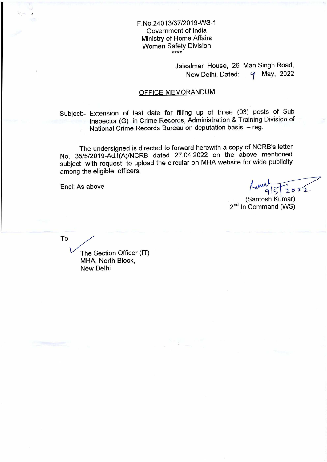### F.No.24013/37/2019-WS-1 Government of India Ministry of Home Affairs Women Safety Division \*\*\*\*

Jaisalmer House, 26 Man Singh Road, New Delhi, Dated: 9 May, 2022

## OFFICE MEMORANDUM

Subject:- Extension of last date for filling up of three (03) posts of Sub Inspector (G) in Crime Records, Administration & Training Division of National Crime Records Bureau on deputation basis — reg.

The undersigned is directed to forward herewith a copy of NCRB's letter No. 35/5/2019-Ad.I(A)/NCRB dated 27.04.2022 on the above mentioned subject with request to upload the circular on MHA website for wide publicity among the eligible officers.

Encl: As above

 $2022$ 

(Santosh Kumar)  $2^{nd}$  In Command (WS)

To

The Section Officer (IT) MHA, North Block, New Delhi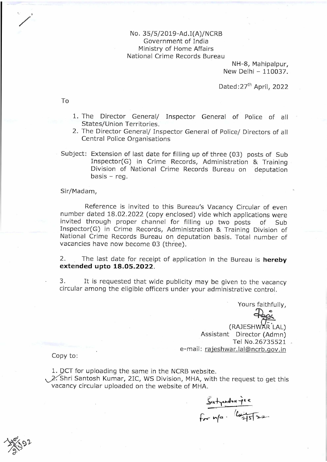## No. 35/5/2019-Ad.I(A)/NCRB Government of India Ministry of Home Affairs National Crime Records Bureau

NH-8, Mahipalpur, New Delhi - 110037.

Dated: 27<sup>th</sup> April, 2022

To

- 1. The Director General/ Inspector General of Police of all States/Union Territories.
- 2. The Director General/ Inspector General of Police/ Directors of all Central Police Organisations

Subject: Extension of last date for filling up of three (03) posts of Sub Inspector(G) in Crime Records, Administration & Training Division of National Crime Records Bureau on deputation  $basis - *req*$ .

#### Sir/Madam,

Reference is invited to this Bureau's Vacancy Circular of even number dated 18.02.2022 (copy enclosed) vide which applications were invited through proper channel for filling up two posts of Sub Inspector(G) in Crime Records, Administration & Training Division of National Crime Records Bureau on.deputation basis. Total number of vacancies have now become 03 (three).

2. The last date for receipt of application in the Bureau is **hereby extended upto 18.05.2022.** 

3. It is requested that wide publicity may be given to the vacancy circular among the eligible officers under your administrative control.

Yours faithfully, (RAJESHWAR LAL) Assistant Director (Admn) Tel No.26735521 e-mail: rajeshwar.lal@ncrb.gov.in Copy to:

1. DCT for uploading the same in the NCRB website.

 $\sqrt{2}$ . Shri Santosh Kumar, 2IC, WS Division, MHA, with the request to get this vacancy circular uploaded on the website of MHA.

e  $f$ *r*  $n/e$   $\cdot$   $\frac{1}{2}$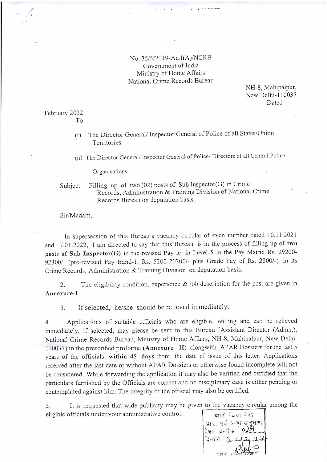No. 35/5/2019-Ad.I(A)/NCRB Government of India Ministry of Home Affairs National Crime Records Bureau

NH-8, Mahipalpur, New Delhi-110037 Dated

#### February 2022 To

(i) The Director General/ Inspector General of Police of all States/Union Territories.

(ii) The Director General/ Inspector General of Police/ Directors of all Central Police

Organisations.

# Subject: Filling up of two (02) posts of Sub Inspector(G) in Crime Records, Administration & Training Division of National Crime Records Bureau on deputation basis.

Sir/Madam,

In supersession of this Bureau's vacancy circular of even number dated 10.11.2021 and 17.01.2022, I am directed to say that this Bureau is in the process of filling up of two posts of Sub Inspector(G) in the revised Pay ie in Level-5 in the Pay Matrix Rs. 29200- 92300/- (pre-revised Pay Band-1, Rs. 5200-20200/- plus Grade Pay of Rs. 2800/-) in its Crime Records, Administration & Training Division on deputation basis.

2. The eligibility condition, experience & job description for the post are given in Annexure-I.

3. If selected, he/she should be relieved immediately.

4. Applications of suitable officials who are eligible, willing and can be relieved immediately, if selected, may please be sent to this Bureau [Assistant Director (Admn.), National Crime Records Bureau, Ministry of Home Affairs, NH-8, Mahipalpur, New Delhi-110037] in the prescribed proforma (Annexure - II) alongwith APAR Dossiers for the last 5 years of the officials within 45 days from the date of issue of this letter. Applications received after the last date or without APAR Dossiers or otherwise found incomplete will not be considered. While forwarding the application it may also be verified and certified that the particulars furnished by the Officials are correct and no disciplinary case is either pending or contemplated against him. The integrity of the official may also be certified.

5. It is requested that wide publicity may be given to the vacancy circular among the eligible officials under.your administrative control.

1 चारी<sup>: ट्रि</sup>स गंधा प्राप्त पर्य प्रदेश अनुभाष |<br>|दिनांक.  $t$ ोबल क्लांखि $\left[ 0.2 \right]$ I r) ann an